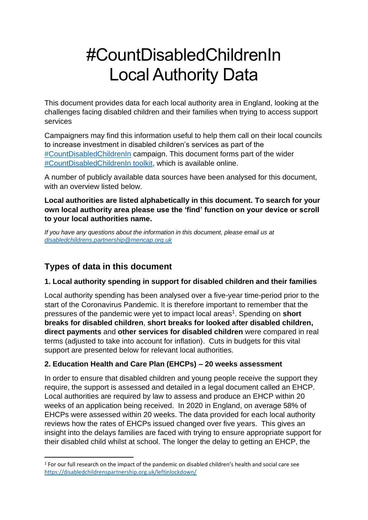# #CountDisabledChildrenIn Local Authority Data

This document provides data for each local authority area in England, looking at the challenges facing disabled children and their families when trying to access support services

Campaigners may find this information useful to help them call on their local councils to increase investment in disabled children's services as part of the [#CountDisabledChildrenIn](https://disabledchildrenspartnership.org.uk/count-disabled-children-in/) campaign. This document forms part of the wider [#CountDisabledChildrenIn toolkit,](https://disabledchildrenspartnership.org.uk/countdisabledchildrenin-campaigning-materials/) which is available online.

A number of publicly available data sources have been analysed for this document, with an overview listed below.

#### **Local authorities are listed alphabetically in this document. To search for your own local authority area please use the 'find' function on your device or scroll to your local authorities name.**

*If you have any questions about the information in this document, please email us at [disabledchildrens.partnership@mencap.org.uk](mailto:disabledchildrens.partnership@mencap.org.uk)*

# **Types of data in this document**

#### **1. Local authority spending in support for disabled children and their families**

Local authority spending has been analysed over a five-year time-period prior to the start of the Coronavirus Pandemic. It is therefore important to remember that the pressures of the pandemic were yet to impact local areas<sup>1</sup>. Spending on **short breaks for disabled children**, **short breaks for looked after disabled children, direct payments** and **other services for disabled children** were compared in real terms (adjusted to take into account for inflation). Cuts in budgets for this vital support are presented below for relevant local authorities.

#### **2. Education Health and Care Plan (EHCPs) – 20 weeks assessment**

In order to ensure that disabled children and young people receive the support they require, the support is assessed and detailed in a legal document called an EHCP. Local authorities are required by law to assess and produce an EHCP within 20 weeks of an application being received. In 2020 in England, on average 58% of EHCPs were assessed within 20 weeks. The data provided for each local authority reviews how the rates of EHCPs issued changed over five years. This gives an insight into the delays families are faced with trying to ensure appropriate support for their disabled child whilst at school. The longer the delay to getting an EHCP, the

 $1$  For our full research on the impact of the pandemic on disabled children's health and social care see <https://disabledchildrenspartnership.org.uk/leftinlockdown/>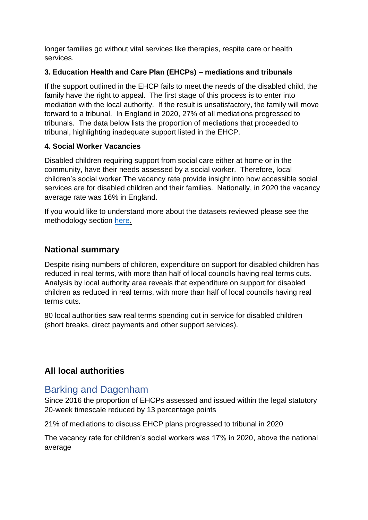longer families go without vital services like therapies, respite care or health services.

#### **3. Education Health and Care Plan (EHCPs) – mediations and tribunals**

If the support outlined in the EHCP fails to meet the needs of the disabled child, the family have the right to appeal. The first stage of this process is to enter into mediation with the local authority. If the result is unsatisfactory, the family will move forward to a tribunal. In England in 2020, 27% of all mediations progressed to tribunals. The data below lists the proportion of mediations that proceeded to tribunal, highlighting inadequate support listed in the EHCP.

#### **4. Social Worker Vacancies**

Disabled children requiring support from social care either at home or in the community, have their needs assessed by a social worker. Therefore, local children's social worker The vacancy rate provide insight into how accessible social services are for disabled children and their families. Nationally, in 2020 the vacancy average rate was 16% in England.

If you would like to understand more about the datasets reviewed please see the methodology section [here.](https://disabledchildrenspartnership.org.uk/wp-content/uploads/2022/01/CountDisabledChildrenIn-Local-Authority-Data-METHODOLGY-.pdf)

#### **National summary**

Despite rising numbers of children, expenditure on support for disabled children has reduced in real terms, with more than half of local councils having real terms cuts. Analysis by local authority area reveals that expenditure on support for disabled children as reduced in real terms, with more than half of local councils having real terms cuts.

80 local authorities saw real terms spending cut in service for disabled children (short breaks, direct payments and other support services).

#### **All local authorities**

# Barking and Dagenham

Since 2016 the proportion of EHCPs assessed and issued within the legal statutory 20-week timescale reduced by 13 percentage points

21% of mediations to discuss EHCP plans progressed to tribunal in 2020

The vacancy rate for children's social workers was 17% in 2020, above the national average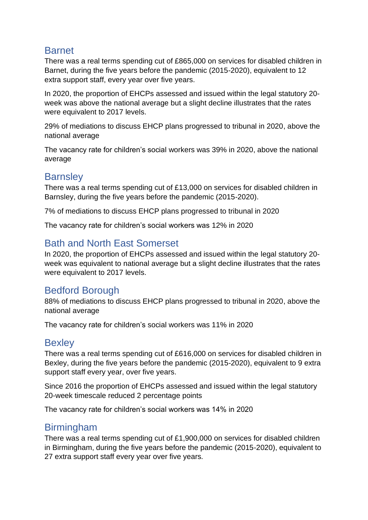# Barnet

There was a real terms spending cut of £865,000 on services for disabled children in Barnet, during the five years before the pandemic (2015-2020), equivalent to 12 extra support staff, every year over five years.

In 2020, the proportion of EHCPs assessed and issued within the legal statutory 20 week was above the national average but a slight decline illustrates that the rates were equivalent to 2017 levels.

29% of mediations to discuss EHCP plans progressed to tribunal in 2020, above the national average

The vacancy rate for children's social workers was 39% in 2020, above the national average

# **Barnsley**

There was a real terms spending cut of £13,000 on services for disabled children in Barnsley, during the five years before the pandemic (2015-2020).

7% of mediations to discuss EHCP plans progressed to tribunal in 2020

The vacancy rate for children's social workers was 12% in 2020

# Bath and North East Somerset

In 2020, the proportion of EHCPs assessed and issued within the legal statutory 20 week was equivalent to national average but a slight decline illustrates that the rates were equivalent to 2017 levels.

# Bedford Borough

88% of mediations to discuss EHCP plans progressed to tribunal in 2020, above the national average

The vacancy rate for children's social workers was 11% in 2020

#### **Bexley**

There was a real terms spending cut of £616,000 on services for disabled children in Bexley, during the five years before the pandemic (2015-2020), equivalent to 9 extra support staff every year, over five years.

Since 2016 the proportion of EHCPs assessed and issued within the legal statutory 20-week timescale reduced 2 percentage points

The vacancy rate for children's social workers was 14% in 2020

# Birmingham

There was a real terms spending cut of £1,900,000 on services for disabled children in Birmingham, during the five years before the pandemic (2015-2020), equivalent to 27 extra support staff every year over five years.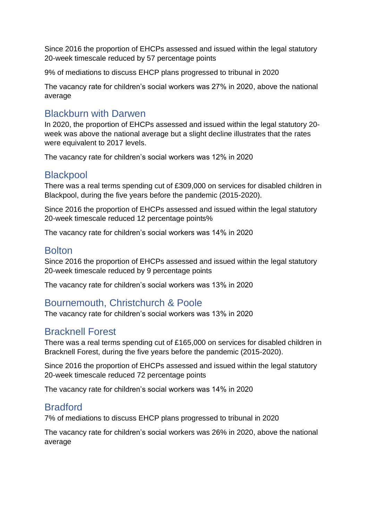Since 2016 the proportion of EHCPs assessed and issued within the legal statutory 20-week timescale reduced by 57 percentage points

9% of mediations to discuss EHCP plans progressed to tribunal in 2020

The vacancy rate for children's social workers was 27% in 2020, above the national average

# Blackburn with Darwen

In 2020, the proportion of EHCPs assessed and issued within the legal statutory 20 week was above the national average but a slight decline illustrates that the rates were equivalent to 2017 levels.

The vacancy rate for children's social workers was 12% in 2020

#### **Blackpool**

There was a real terms spending cut of £309,000 on services for disabled children in Blackpool, during the five years before the pandemic (2015-2020).

Since 2016 the proportion of EHCPs assessed and issued within the legal statutory 20-week timescale reduced 12 percentage points%

The vacancy rate for children's social workers was 14% in 2020

#### Bolton

Since 2016 the proportion of EHCPs assessed and issued within the legal statutory 20-week timescale reduced by 9 percentage points

The vacancy rate for children's social workers was 13% in 2020

# Bournemouth, Christchurch & Poole

The vacancy rate for children's social workers was 13% in 2020

#### Bracknell Forest

There was a real terms spending cut of £165,000 on services for disabled children in Bracknell Forest, during the five years before the pandemic (2015-2020).

Since 2016 the proportion of EHCPs assessed and issued within the legal statutory 20-week timescale reduced 72 percentage points

The vacancy rate for children's social workers was 14% in 2020

# **Bradford**

7% of mediations to discuss EHCP plans progressed to tribunal in 2020

The vacancy rate for children's social workers was 26% in 2020, above the national average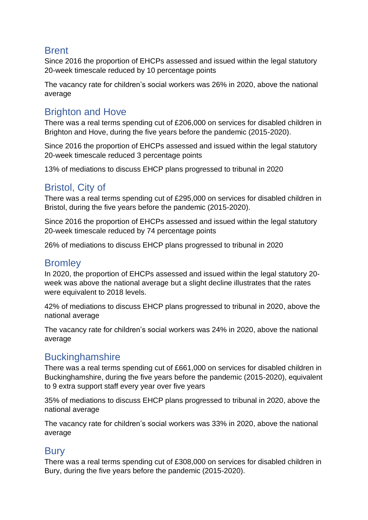# Brent

Since 2016 the proportion of EHCPs assessed and issued within the legal statutory 20-week timescale reduced by 10 percentage points

The vacancy rate for children's social workers was 26% in 2020, above the national average

# Brighton and Hove

There was a real terms spending cut of £206,000 on services for disabled children in Brighton and Hove, during the five years before the pandemic (2015-2020).

Since 2016 the proportion of EHCPs assessed and issued within the legal statutory 20-week timescale reduced 3 percentage points

13% of mediations to discuss EHCP plans progressed to tribunal in 2020

# Bristol, City of

There was a real terms spending cut of £295,000 on services for disabled children in Bristol, during the five years before the pandemic (2015-2020).

Since 2016 the proportion of EHCPs assessed and issued within the legal statutory 20-week timescale reduced by 74 percentage points

26% of mediations to discuss EHCP plans progressed to tribunal in 2020

# **Bromley**

In 2020, the proportion of EHCPs assessed and issued within the legal statutory 20 week was above the national average but a slight decline illustrates that the rates were equivalent to 2018 levels.

42% of mediations to discuss EHCP plans progressed to tribunal in 2020, above the national average

The vacancy rate for children's social workers was 24% in 2020, above the national average

# **Buckinghamshire**

There was a real terms spending cut of £661,000 on services for disabled children in Buckinghamshire, during the five years before the pandemic (2015-2020), equivalent to 9 extra support staff every year over five years

35% of mediations to discuss EHCP plans progressed to tribunal in 2020, above the national average

The vacancy rate for children's social workers was 33% in 2020, above the national average

# **Bury**

There was a real terms spending cut of £308,000 on services for disabled children in Bury, during the five years before the pandemic (2015-2020).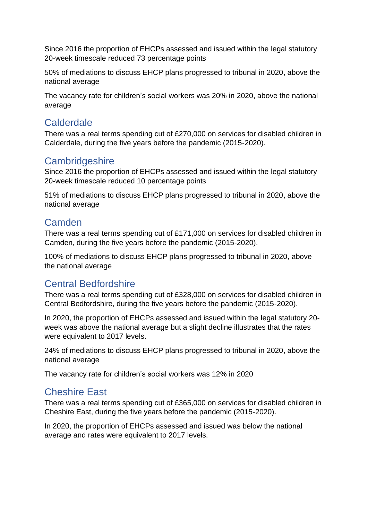Since 2016 the proportion of EHCPs assessed and issued within the legal statutory 20-week timescale reduced 73 percentage points

50% of mediations to discuss EHCP plans progressed to tribunal in 2020, above the national average

The vacancy rate for children's social workers was 20% in 2020, above the national average

# Calderdale

There was a real terms spending cut of £270,000 on services for disabled children in Calderdale, during the five years before the pandemic (2015-2020).

#### **Cambridgeshire**

Since 2016 the proportion of EHCPs assessed and issued within the legal statutory 20-week timescale reduced 10 percentage points

51% of mediations to discuss EHCP plans progressed to tribunal in 2020, above the national average

# **Camden**

There was a real terms spending cut of £171,000 on services for disabled children in Camden, during the five years before the pandemic (2015-2020).

100% of mediations to discuss EHCP plans progressed to tribunal in 2020, above the national average

# Central Bedfordshire

There was a real terms spending cut of £328,000 on services for disabled children in Central Bedfordshire, during the five years before the pandemic (2015-2020).

In 2020, the proportion of EHCPs assessed and issued within the legal statutory 20 week was above the national average but a slight decline illustrates that the rates were equivalent to 2017 levels.

24% of mediations to discuss EHCP plans progressed to tribunal in 2020, above the national average

The vacancy rate for children's social workers was 12% in 2020

# Cheshire East

There was a real terms spending cut of £365,000 on services for disabled children in Cheshire East, during the five years before the pandemic (2015-2020).

In 2020, the proportion of EHCPs assessed and issued was below the national average and rates were equivalent to 2017 levels.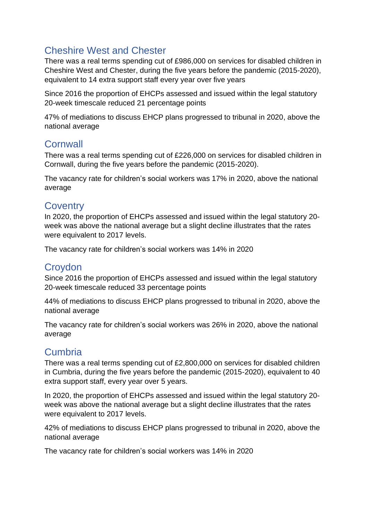# Cheshire West and Chester

There was a real terms spending cut of £986,000 on services for disabled children in Cheshire West and Chester, during the five years before the pandemic (2015-2020), equivalent to 14 extra support staff every year over five years

Since 2016 the proportion of EHCPs assessed and issued within the legal statutory 20-week timescale reduced 21 percentage points

47% of mediations to discuss EHCP plans progressed to tribunal in 2020, above the national average

# **Cornwall**

There was a real terms spending cut of £226,000 on services for disabled children in Cornwall, during the five years before the pandemic (2015-2020).

The vacancy rate for children's social workers was 17% in 2020, above the national average

# **Coventry**

In 2020, the proportion of EHCPs assessed and issued within the legal statutory 20 week was above the national average but a slight decline illustrates that the rates were equivalent to 2017 levels.

The vacancy rate for children's social workers was 14% in 2020

# **Croydon**

Since 2016 the proportion of EHCPs assessed and issued within the legal statutory 20-week timescale reduced 33 percentage points

44% of mediations to discuss EHCP plans progressed to tribunal in 2020, above the national average

The vacancy rate for children's social workers was 26% in 2020, above the national average

# **Cumbria**

There was a real terms spending cut of £2,800,000 on services for disabled children in Cumbria, during the five years before the pandemic (2015-2020), equivalent to 40 extra support staff, every year over 5 years.

In 2020, the proportion of EHCPs assessed and issued within the legal statutory 20 week was above the national average but a slight decline illustrates that the rates were equivalent to 2017 levels.

42% of mediations to discuss EHCP plans progressed to tribunal in 2020, above the national average

The vacancy rate for children's social workers was 14% in 2020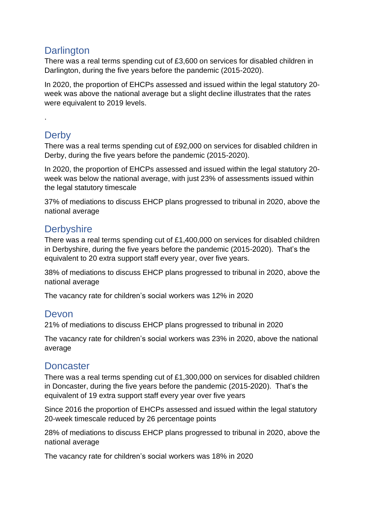# **Darlington**

There was a real terms spending cut of £3,600 on services for disabled children in Darlington, during the five years before the pandemic (2015-2020).

In 2020, the proportion of EHCPs assessed and issued within the legal statutory 20 week was above the national average but a slight decline illustrates that the rates were equivalent to 2019 levels.

# **Derby**

.

There was a real terms spending cut of £92,000 on services for disabled children in Derby, during the five years before the pandemic (2015-2020).

In 2020, the proportion of EHCPs assessed and issued within the legal statutory 20 week was below the national average, with just 23% of assessments issued within the legal statutory timescale

37% of mediations to discuss EHCP plans progressed to tribunal in 2020, above the national average

# **Derbyshire**

There was a real terms spending cut of £1,400,000 on services for disabled children in Derbyshire, during the five years before the pandemic (2015-2020). That's the equivalent to 20 extra support staff every year, over five years.

38% of mediations to discuss EHCP plans progressed to tribunal in 2020, above the national average

The vacancy rate for children's social workers was 12% in 2020

# Devon

21% of mediations to discuss EHCP plans progressed to tribunal in 2020

The vacancy rate for children's social workers was 23% in 2020, above the national average

# **Doncaster**

There was a real terms spending cut of £1,300,000 on services for disabled children in Doncaster, during the five years before the pandemic (2015-2020). That's the equivalent of 19 extra support staff every year over five years

Since 2016 the proportion of EHCPs assessed and issued within the legal statutory 20-week timescale reduced by 26 percentage points

28% of mediations to discuss EHCP plans progressed to tribunal in 2020, above the national average

The vacancy rate for children's social workers was 18% in 2020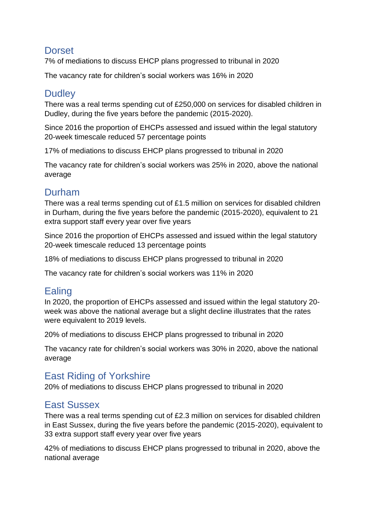# **Dorset**

7% of mediations to discuss EHCP plans progressed to tribunal in 2020

The vacancy rate for children's social workers was 16% in 2020

# **Dudley**

There was a real terms spending cut of £250,000 on services for disabled children in Dudley, during the five years before the pandemic (2015-2020).

Since 2016 the proportion of EHCPs assessed and issued within the legal statutory 20-week timescale reduced 57 percentage points

17% of mediations to discuss EHCP plans progressed to tribunal in 2020

The vacancy rate for children's social workers was 25% in 2020, above the national average

# Durham

There was a real terms spending cut of £1.5 million on services for disabled children in Durham, during the five years before the pandemic (2015-2020), equivalent to 21 extra support staff every year over five years

Since 2016 the proportion of EHCPs assessed and issued within the legal statutory 20-week timescale reduced 13 percentage points

18% of mediations to discuss EHCP plans progressed to tribunal in 2020

The vacancy rate for children's social workers was 11% in 2020

# Ealing

In 2020, the proportion of EHCPs assessed and issued within the legal statutory 20 week was above the national average but a slight decline illustrates that the rates were equivalent to 2019 levels.

20% of mediations to discuss EHCP plans progressed to tribunal in 2020

The vacancy rate for children's social workers was 30% in 2020, above the national average

# East Riding of Yorkshire

20% of mediations to discuss EHCP plans progressed to tribunal in 2020

# East Sussex

There was a real terms spending cut of £2.3 million on services for disabled children in East Sussex, during the five years before the pandemic (2015-2020), equivalent to 33 extra support staff every year over five years

42% of mediations to discuss EHCP plans progressed to tribunal in 2020, above the national average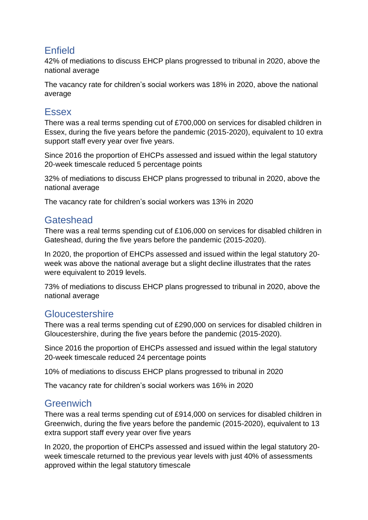# Enfield

42% of mediations to discuss EHCP plans progressed to tribunal in 2020, above the national average

The vacancy rate for children's social workers was 18% in 2020, above the national average

#### Essex

There was a real terms spending cut of £700,000 on services for disabled children in Essex, during the five years before the pandemic (2015-2020), equivalent to 10 extra support staff every year over five years.

Since 2016 the proportion of EHCPs assessed and issued within the legal statutory 20-week timescale reduced 5 percentage points

32% of mediations to discuss EHCP plans progressed to tribunal in 2020, above the national average

The vacancy rate for children's social workers was 13% in 2020

# **Gateshead**

There was a real terms spending cut of £106,000 on services for disabled children in Gateshead, during the five years before the pandemic (2015-2020).

In 2020, the proportion of EHCPs assessed and issued within the legal statutory 20 week was above the national average but a slight decline illustrates that the rates were equivalent to 2019 levels.

73% of mediations to discuss EHCP plans progressed to tribunal in 2020, above the national average

#### **Gloucestershire**

There was a real terms spending cut of £290,000 on services for disabled children in Gloucestershire, during the five years before the pandemic (2015-2020).

Since 2016 the proportion of EHCPs assessed and issued within the legal statutory 20-week timescale reduced 24 percentage points

10% of mediations to discuss EHCP plans progressed to tribunal in 2020

The vacancy rate for children's social workers was 16% in 2020

#### **Greenwich**

There was a real terms spending cut of £914,000 on services for disabled children in Greenwich, during the five years before the pandemic (2015-2020), equivalent to 13 extra support staff every year over five years

In 2020, the proportion of EHCPs assessed and issued within the legal statutory 20 week timescale returned to the previous year levels with just 40% of assessments approved within the legal statutory timescale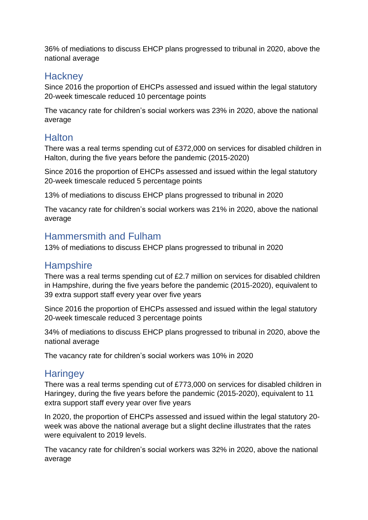36% of mediations to discuss EHCP plans progressed to tribunal in 2020, above the national average

#### **Hackney**

Since 2016 the proportion of EHCPs assessed and issued within the legal statutory 20-week timescale reduced 10 percentage points

The vacancy rate for children's social workers was 23% in 2020, above the national average

# **Halton**

There was a real terms spending cut of £372,000 on services for disabled children in Halton, during the five years before the pandemic (2015-2020)

Since 2016 the proportion of EHCPs assessed and issued within the legal statutory 20-week timescale reduced 5 percentage points

13% of mediations to discuss EHCP plans progressed to tribunal in 2020

The vacancy rate for children's social workers was 21% in 2020, above the national average

#### Hammersmith and Fulham

13% of mediations to discuss EHCP plans progressed to tribunal in 2020

# **Hampshire**

There was a real terms spending cut of £2.7 million on services for disabled children in Hampshire, during the five years before the pandemic (2015-2020), equivalent to 39 extra support staff every year over five years

Since 2016 the proportion of EHCPs assessed and issued within the legal statutory 20-week timescale reduced 3 percentage points

34% of mediations to discuss EHCP plans progressed to tribunal in 2020, above the national average

The vacancy rate for children's social workers was 10% in 2020

# **Haringey**

There was a real terms spending cut of £773,000 on services for disabled children in Haringey, during the five years before the pandemic (2015-2020), equivalent to 11 extra support staff every year over five years

In 2020, the proportion of EHCPs assessed and issued within the legal statutory 20 week was above the national average but a slight decline illustrates that the rates were equivalent to 2019 levels.

The vacancy rate for children's social workers was 32% in 2020, above the national average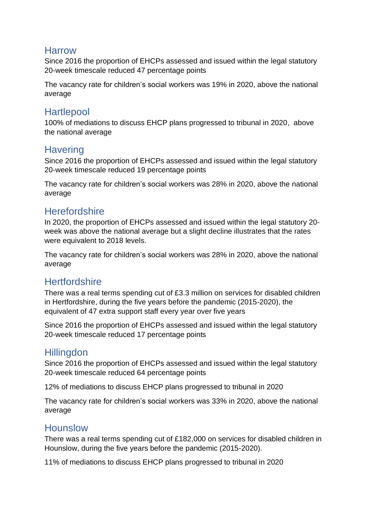# Harrow

Since 2016 the proportion of EHCPs assessed and issued within the legal statutory 20-week timescale reduced 47 percentage points

The vacancy rate for children's social workers was 19% in 2020, above the national average

# **Hartlepool**

100% of mediations to discuss EHCP plans progressed to tribunal in 2020, above the national average

# **Havering**

Since 2016 the proportion of EHCPs assessed and issued within the legal statutory 20-week timescale reduced 19 percentage points

The vacancy rate for children's social workers was 28% in 2020, above the national average

# **Herefordshire**

In 2020, the proportion of EHCPs assessed and issued within the legal statutory 20 week was above the national average but a slight decline illustrates that the rates were equivalent to 2018 levels.

The vacancy rate for children's social workers was 28% in 2020, above the national average

# **Hertfordshire**

There was a real terms spending cut of £3.3 million on services for disabled children in Hertfordshire, during the five years before the pandemic (2015-2020), the equivalent of 47 extra support staff every year over five years

Since 2016 the proportion of EHCPs assessed and issued within the legal statutory 20-week timescale reduced 17 percentage points

# **Hillingdon**

Since 2016 the proportion of EHCPs assessed and issued within the legal statutory 20-week timescale reduced 64 percentage points

12% of mediations to discuss EHCP plans progressed to tribunal in 2020

The vacancy rate for children's social workers was 33% in 2020, above the national average

# **Hounslow**

There was a real terms spending cut of £182,000 on services for disabled children in Hounslow, during the five years before the pandemic (2015-2020).

11% of mediations to discuss EHCP plans progressed to tribunal in 2020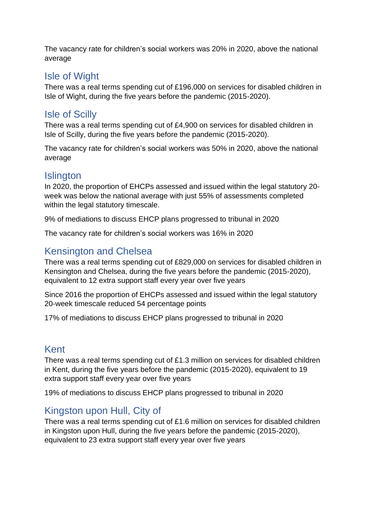The vacancy rate for children's social workers was 20% in 2020, above the national average

# Isle of Wight

There was a real terms spending cut of £196,000 on services for disabled children in Isle of Wight, during the five years before the pandemic (2015-2020).

# Isle of Scilly

There was a real terms spending cut of £4,900 on services for disabled children in Isle of Scilly, during the five years before the pandemic (2015-2020).

The vacancy rate for children's social workers was 50% in 2020, above the national average

# **Islington**

In 2020, the proportion of EHCPs assessed and issued within the legal statutory 20 week was below the national average with just 55% of assessments completed within the legal statutory timescale.

9% of mediations to discuss EHCP plans progressed to tribunal in 2020

The vacancy rate for children's social workers was 16% in 2020

# Kensington and Chelsea

There was a real terms spending cut of £829,000 on services for disabled children in Kensington and Chelsea, during the five years before the pandemic (2015-2020), equivalent to 12 extra support staff every year over five years

Since 2016 the proportion of EHCPs assessed and issued within the legal statutory 20-week timescale reduced 54 percentage points

17% of mediations to discuss EHCP plans progressed to tribunal in 2020

# Kent

There was a real terms spending cut of £1.3 million on services for disabled children in Kent, during the five years before the pandemic (2015-2020), equivalent to 19 extra support staff every year over five years

19% of mediations to discuss EHCP plans progressed to tribunal in 2020

# Kingston upon Hull, City of

There was a real terms spending cut of £1.6 million on services for disabled children in Kingston upon Hull, during the five years before the pandemic (2015-2020), equivalent to 23 extra support staff every year over five years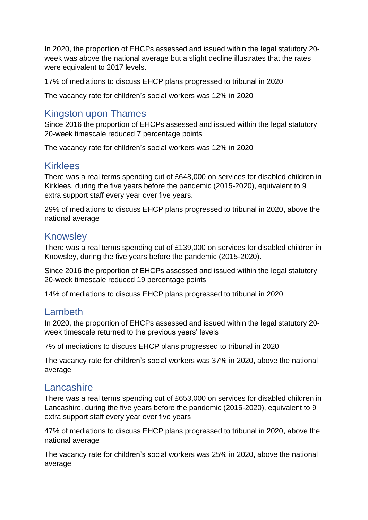In 2020, the proportion of EHCPs assessed and issued within the legal statutory 20 week was above the national average but a slight decline illustrates that the rates were equivalent to 2017 levels.

17% of mediations to discuss EHCP plans progressed to tribunal in 2020

The vacancy rate for children's social workers was 12% in 2020

#### Kingston upon Thames

Since 2016 the proportion of EHCPs assessed and issued within the legal statutory 20-week timescale reduced 7 percentage points

The vacancy rate for children's social workers was 12% in 2020

#### **Kirklees**

There was a real terms spending cut of £648,000 on services for disabled children in Kirklees, during the five years before the pandemic (2015-2020), equivalent to 9 extra support staff every year over five years.

29% of mediations to discuss EHCP plans progressed to tribunal in 2020, above the national average

#### Knowsley

There was a real terms spending cut of £139,000 on services for disabled children in Knowsley, during the five years before the pandemic (2015-2020).

Since 2016 the proportion of EHCPs assessed and issued within the legal statutory 20-week timescale reduced 19 percentage points

14% of mediations to discuss EHCP plans progressed to tribunal in 2020

#### Lambeth

In 2020, the proportion of EHCPs assessed and issued within the legal statutory 20 week timescale returned to the previous years' levels

7% of mediations to discuss EHCP plans progressed to tribunal in 2020

The vacancy rate for children's social workers was 37% in 2020, above the national average

# Lancashire

There was a real terms spending cut of £653,000 on services for disabled children in Lancashire, during the five years before the pandemic (2015-2020), equivalent to 9 extra support staff every year over five years

47% of mediations to discuss EHCP plans progressed to tribunal in 2020, above the national average

The vacancy rate for children's social workers was 25% in 2020, above the national average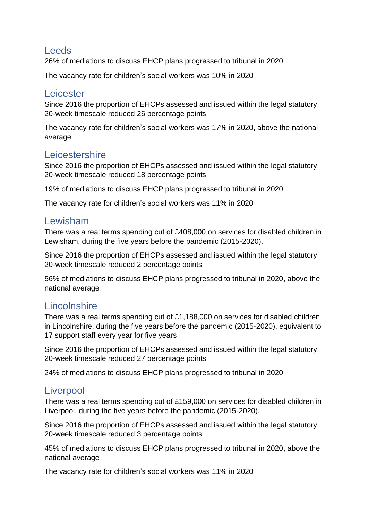#### Leeds

26% of mediations to discuss EHCP plans progressed to tribunal in 2020

The vacancy rate for children's social workers was 10% in 2020

#### **Leicester**

Since 2016 the proportion of EHCPs assessed and issued within the legal statutory 20-week timescale reduced 26 percentage points

The vacancy rate for children's social workers was 17% in 2020, above the national average

# **Leicestershire**

Since 2016 the proportion of EHCPs assessed and issued within the legal statutory 20-week timescale reduced 18 percentage points

19% of mediations to discuss EHCP plans progressed to tribunal in 2020

The vacancy rate for children's social workers was 11% in 2020

#### Lewisham

There was a real terms spending cut of £408,000 on services for disabled children in Lewisham, during the five years before the pandemic (2015-2020).

Since 2016 the proportion of EHCPs assessed and issued within the legal statutory 20-week timescale reduced 2 percentage points

56% of mediations to discuss EHCP plans progressed to tribunal in 2020, above the national average

# **Lincolnshire**

There was a real terms spending cut of £1,188,000 on services for disabled children in Lincolnshire, during the five years before the pandemic (2015-2020), equivalent to 17 support staff every year for five years

Since 2016 the proportion of EHCPs assessed and issued within the legal statutory 20-week timescale reduced 27 percentage points

24% of mediations to discuss EHCP plans progressed to tribunal in 2020

# **Liverpool**

There was a real terms spending cut of £159,000 on services for disabled children in Liverpool, during the five years before the pandemic (2015-2020).

Since 2016 the proportion of EHCPs assessed and issued within the legal statutory 20-week timescale reduced 3 percentage points

45% of mediations to discuss EHCP plans progressed to tribunal in 2020, above the national average

The vacancy rate for children's social workers was 11% in 2020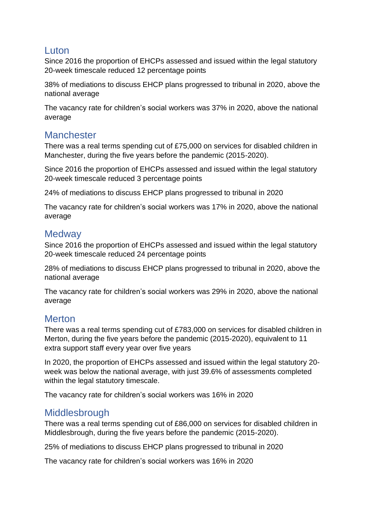#### Luton

Since 2016 the proportion of EHCPs assessed and issued within the legal statutory 20-week timescale reduced 12 percentage points

38% of mediations to discuss EHCP plans progressed to tribunal in 2020, above the national average

The vacancy rate for children's social workers was 37% in 2020, above the national average

# **Manchester**

There was a real terms spending cut of £75,000 on services for disabled children in Manchester, during the five years before the pandemic (2015-2020).

Since 2016 the proportion of EHCPs assessed and issued within the legal statutory 20-week timescale reduced 3 percentage points

24% of mediations to discuss EHCP plans progressed to tribunal in 2020

The vacancy rate for children's social workers was 17% in 2020, above the national average

# **Medway**

Since 2016 the proportion of EHCPs assessed and issued within the legal statutory 20-week timescale reduced 24 percentage points

28% of mediations to discuss EHCP plans progressed to tribunal in 2020, above the national average

The vacancy rate for children's social workers was 29% in 2020, above the national average

# **Merton**

There was a real terms spending cut of £783,000 on services for disabled children in Merton, during the five years before the pandemic (2015-2020), equivalent to 11 extra support staff every year over five years

In 2020, the proportion of EHCPs assessed and issued within the legal statutory 20 week was below the national average, with just 39.6% of assessments completed within the legal statutory timescale.

The vacancy rate for children's social workers was 16% in 2020

# Middlesbrough

There was a real terms spending cut of £86,000 on services for disabled children in Middlesbrough, during the five years before the pandemic (2015-2020).

25% of mediations to discuss EHCP plans progressed to tribunal in 2020

The vacancy rate for children's social workers was 16% in 2020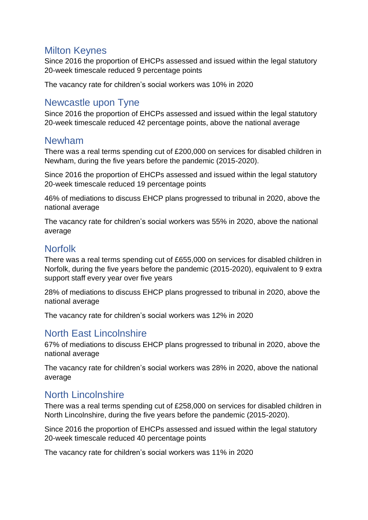# Milton Keynes

Since 2016 the proportion of EHCPs assessed and issued within the legal statutory 20-week timescale reduced 9 percentage points

The vacancy rate for children's social workers was 10% in 2020

# Newcastle upon Tyne

Since 2016 the proportion of EHCPs assessed and issued within the legal statutory 20-week timescale reduced 42 percentage points, above the national average

#### Newham

There was a real terms spending cut of £200,000 on services for disabled children in Newham, during the five years before the pandemic (2015-2020).

Since 2016 the proportion of EHCPs assessed and issued within the legal statutory 20-week timescale reduced 19 percentage points

46% of mediations to discuss EHCP plans progressed to tribunal in 2020, above the national average

The vacancy rate for children's social workers was 55% in 2020, above the national average

# Norfolk

There was a real terms spending cut of £655,000 on services for disabled children in Norfolk, during the five years before the pandemic (2015-2020), equivalent to 9 extra support staff every year over five years

28% of mediations to discuss EHCP plans progressed to tribunal in 2020, above the national average

The vacancy rate for children's social workers was 12% in 2020

# North East Lincolnshire

67% of mediations to discuss EHCP plans progressed to tribunal in 2020, above the national average

The vacancy rate for children's social workers was 28% in 2020, above the national average

# North Lincolnshire

There was a real terms spending cut of £258,000 on services for disabled children in North Lincolnshire, during the five years before the pandemic (2015-2020).

Since 2016 the proportion of EHCPs assessed and issued within the legal statutory 20-week timescale reduced 40 percentage points

The vacancy rate for children's social workers was 11% in 2020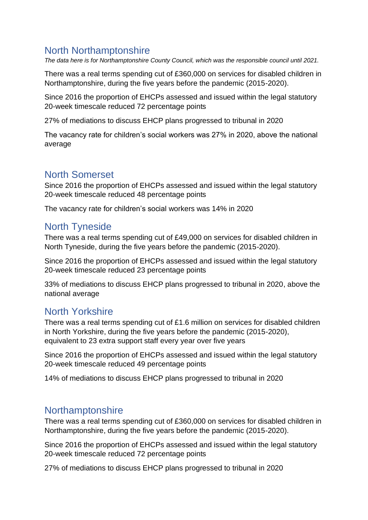# North Northamptonshire

*The data here is for Northamptonshire County Council, which was the responsible council until 2021.*

There was a real terms spending cut of £360,000 on services for disabled children in Northamptonshire, during the five years before the pandemic (2015-2020).

Since 2016 the proportion of EHCPs assessed and issued within the legal statutory 20-week timescale reduced 72 percentage points

27% of mediations to discuss EHCP plans progressed to tribunal in 2020

The vacancy rate for children's social workers was 27% in 2020, above the national average

# North Somerset

Since 2016 the proportion of EHCPs assessed and issued within the legal statutory 20-week timescale reduced 48 percentage points

The vacancy rate for children's social workers was 14% in 2020

# North Tyneside

There was a real terms spending cut of £49,000 on services for disabled children in North Tyneside, during the five years before the pandemic (2015-2020).

Since 2016 the proportion of EHCPs assessed and issued within the legal statutory 20-week timescale reduced 23 percentage points

33% of mediations to discuss EHCP plans progressed to tribunal in 2020, above the national average

# North Yorkshire

There was a real terms spending cut of £1.6 million on services for disabled children in North Yorkshire, during the five years before the pandemic (2015-2020), equivalent to 23 extra support staff every year over five years

Since 2016 the proportion of EHCPs assessed and issued within the legal statutory 20-week timescale reduced 49 percentage points

14% of mediations to discuss EHCP plans progressed to tribunal in 2020

#### **Northamptonshire**

There was a real terms spending cut of £360,000 on services for disabled children in Northamptonshire, during the five years before the pandemic (2015-2020).

Since 2016 the proportion of EHCPs assessed and issued within the legal statutory 20-week timescale reduced 72 percentage points

27% of mediations to discuss EHCP plans progressed to tribunal in 2020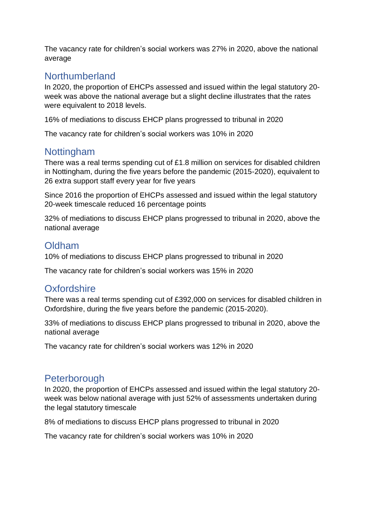The vacancy rate for children's social workers was 27% in 2020, above the national average

# Northumberland

In 2020, the proportion of EHCPs assessed and issued within the legal statutory 20 week was above the national average but a slight decline illustrates that the rates were equivalent to 2018 levels.

16% of mediations to discuss EHCP plans progressed to tribunal in 2020

The vacancy rate for children's social workers was 10% in 2020

# Nottingham

There was a real terms spending cut of £1.8 million on services for disabled children in Nottingham, during the five years before the pandemic (2015-2020), equivalent to 26 extra support staff every year for five years

Since 2016 the proportion of EHCPs assessed and issued within the legal statutory 20-week timescale reduced 16 percentage points

32% of mediations to discuss EHCP plans progressed to tribunal in 2020, above the national average

#### Oldham

10% of mediations to discuss EHCP plans progressed to tribunal in 2020

The vacancy rate for children's social workers was 15% in 2020

# **Oxfordshire**

There was a real terms spending cut of £392,000 on services for disabled children in Oxfordshire, during the five years before the pandemic (2015-2020).

33% of mediations to discuss EHCP plans progressed to tribunal in 2020, above the national average

The vacancy rate for children's social workers was 12% in 2020

# **Peterborough**

In 2020, the proportion of EHCPs assessed and issued within the legal statutory 20 week was below national average with just 52% of assessments undertaken during the legal statutory timescale

8% of mediations to discuss EHCP plans progressed to tribunal in 2020

The vacancy rate for children's social workers was 10% in 2020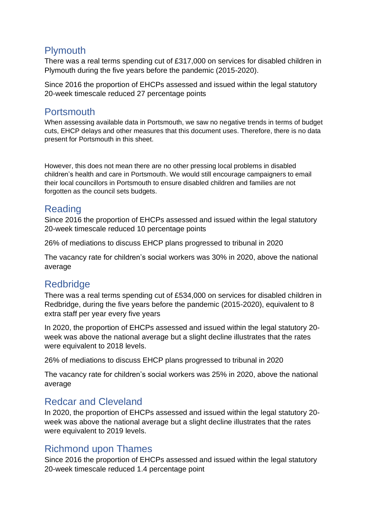# **Plymouth**

There was a real terms spending cut of £317,000 on services for disabled children in Plymouth during the five years before the pandemic (2015-2020).

Since 2016 the proportion of EHCPs assessed and issued within the legal statutory 20-week timescale reduced 27 percentage points

# **Portsmouth**

When assessing available data in Portsmouth, we saw no negative trends in terms of budget cuts, EHCP delays and other measures that this document uses. Therefore, there is no data present for Portsmouth in this sheet.

However, this does not mean there are no other pressing local problems in disabled children's health and care in Portsmouth. We would still encourage campaigners to email their local councillors in Portsmouth to ensure disabled children and families are not forgotten as the council sets budgets.

# Reading

Since 2016 the proportion of EHCPs assessed and issued within the legal statutory 20-week timescale reduced 10 percentage points

26% of mediations to discuss EHCP plans progressed to tribunal in 2020

The vacancy rate for children's social workers was 30% in 2020, above the national average

# **Redbridge**

There was a real terms spending cut of £534,000 on services for disabled children in Redbridge, during the five years before the pandemic (2015-2020), equivalent to 8 extra staff per year every five years

In 2020, the proportion of EHCPs assessed and issued within the legal statutory 20 week was above the national average but a slight decline illustrates that the rates were equivalent to 2018 levels.

26% of mediations to discuss EHCP plans progressed to tribunal in 2020

The vacancy rate for children's social workers was 25% in 2020, above the national average

# Redcar and Cleveland

In 2020, the proportion of EHCPs assessed and issued within the legal statutory 20 week was above the national average but a slight decline illustrates that the rates were equivalent to 2019 levels.

# Richmond upon Thames

Since 2016 the proportion of EHCPs assessed and issued within the legal statutory 20-week timescale reduced 1.4 percentage point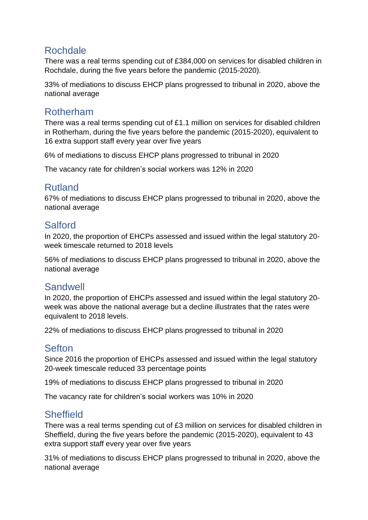# Rochdale

There was a real terms spending cut of £384,000 on services for disabled children in Rochdale, during the five years before the pandemic (2015-2020).

33% of mediations to discuss EHCP plans progressed to tribunal in 2020, above the national average

# Rotherham

There was a real terms spending cut of £1.1 million on services for disabled children in Rotherham, during the five years before the pandemic (2015-2020), equivalent to 16 extra support staff every year over five years

6% of mediations to discuss EHCP plans progressed to tribunal in 2020

The vacancy rate for children's social workers was 12% in 2020

# Rutland

67% of mediations to discuss EHCP plans progressed to tribunal in 2020, above the national average

#### Salford

In 2020, the proportion of EHCPs assessed and issued within the legal statutory 20 week timescale returned to 2018 levels

56% of mediations to discuss EHCP plans progressed to tribunal in 2020, above the national average

# **Sandwell**

In 2020, the proportion of EHCPs assessed and issued within the legal statutory 20 week was above the national average but a decline illustrates that the rates were equivalent to 2018 levels.

22% of mediations to discuss EHCP plans progressed to tribunal in 2020

#### **Sefton**

Since 2016 the proportion of EHCPs assessed and issued within the legal statutory 20-week timescale reduced 33 percentage points

19% of mediations to discuss EHCP plans progressed to tribunal in 2020

The vacancy rate for children's social workers was 10% in 2020

# **Sheffield**

There was a real terms spending cut of £3 million on services for disabled children in Sheffield, during the five years before the pandemic (2015-2020), equivalent to 43 extra support staff every year over five years

31% of mediations to discuss EHCP plans progressed to tribunal in 2020, above the national average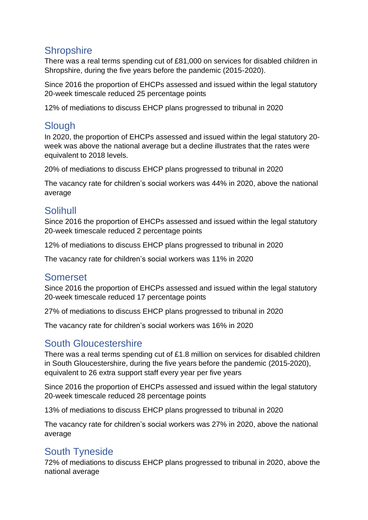# **Shropshire**

There was a real terms spending cut of £81,000 on services for disabled children in Shropshire, during the five years before the pandemic (2015-2020).

Since 2016 the proportion of EHCPs assessed and issued within the legal statutory 20-week timescale reduced 25 percentage points

12% of mediations to discuss EHCP plans progressed to tribunal in 2020

# **Slough**

In 2020, the proportion of EHCPs assessed and issued within the legal statutory 20 week was above the national average but a decline illustrates that the rates were equivalent to 2018 levels.

20% of mediations to discuss EHCP plans progressed to tribunal in 2020

The vacancy rate for children's social workers was 44% in 2020, above the national average

# Solihull

Since 2016 the proportion of EHCPs assessed and issued within the legal statutory 20-week timescale reduced 2 percentage points

12% of mediations to discuss EHCP plans progressed to tribunal in 2020

The vacancy rate for children's social workers was 11% in 2020

# Somerset

Since 2016 the proportion of EHCPs assessed and issued within the legal statutory 20-week timescale reduced 17 percentage points

27% of mediations to discuss EHCP plans progressed to tribunal in 2020

The vacancy rate for children's social workers was 16% in 2020

# South Gloucestershire

There was a real terms spending cut of £1.8 million on services for disabled children in South Gloucestershire, during the five years before the pandemic (2015-2020), equivalent to 26 extra support staff every year per five years

Since 2016 the proportion of EHCPs assessed and issued within the legal statutory 20-week timescale reduced 28 percentage points

13% of mediations to discuss EHCP plans progressed to tribunal in 2020

The vacancy rate for children's social workers was 27% in 2020, above the national average

# South Tyneside

72% of mediations to discuss EHCP plans progressed to tribunal in 2020, above the national average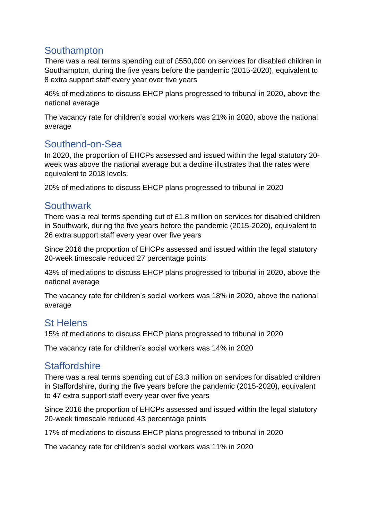# **Southampton**

There was a real terms spending cut of £550,000 on services for disabled children in Southampton, during the five years before the pandemic (2015-2020), equivalent to 8 extra support staff every year over five years

46% of mediations to discuss EHCP plans progressed to tribunal in 2020, above the national average

The vacancy rate for children's social workers was 21% in 2020, above the national average

# Southend-on-Sea

In 2020, the proportion of EHCPs assessed and issued within the legal statutory 20 week was above the national average but a decline illustrates that the rates were equivalent to 2018 levels.

20% of mediations to discuss EHCP plans progressed to tribunal in 2020

# **Southwark**

There was a real terms spending cut of £1.8 million on services for disabled children in Southwark, during the five years before the pandemic (2015-2020), equivalent to 26 extra support staff every year over five years

Since 2016 the proportion of EHCPs assessed and issued within the legal statutory 20-week timescale reduced 27 percentage points

43% of mediations to discuss EHCP plans progressed to tribunal in 2020, above the national average

The vacancy rate for children's social workers was 18% in 2020, above the national average

# St Helens

15% of mediations to discuss EHCP plans progressed to tribunal in 2020

The vacancy rate for children's social workers was 14% in 2020

# **Staffordshire**

There was a real terms spending cut of £3.3 million on services for disabled children in Staffordshire, during the five years before the pandemic (2015-2020), equivalent to 47 extra support staff every year over five years

Since 2016 the proportion of EHCPs assessed and issued within the legal statutory 20-week timescale reduced 43 percentage points

17% of mediations to discuss EHCP plans progressed to tribunal in 2020

The vacancy rate for children's social workers was 11% in 2020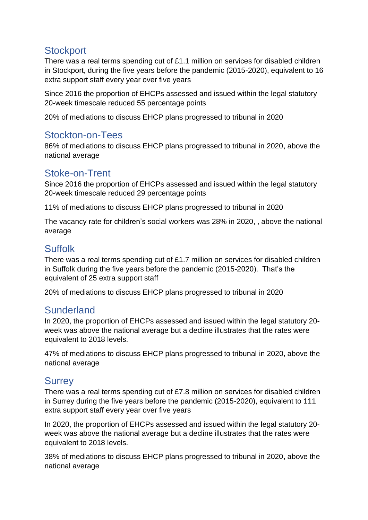# **Stockport**

There was a real terms spending cut of £1.1 million on services for disabled children in Stockport, during the five years before the pandemic (2015-2020), equivalent to 16 extra support staff every year over five years

Since 2016 the proportion of EHCPs assessed and issued within the legal statutory 20-week timescale reduced 55 percentage points

20% of mediations to discuss EHCP plans progressed to tribunal in 2020

# Stockton-on-Tees

86% of mediations to discuss EHCP plans progressed to tribunal in 2020, above the national average

# Stoke-on-Trent

Since 2016 the proportion of EHCPs assessed and issued within the legal statutory 20-week timescale reduced 29 percentage points

11% of mediations to discuss EHCP plans progressed to tribunal in 2020

The vacancy rate for children's social workers was 28% in 2020, , above the national average

# Suffolk

There was a real terms spending cut of £1.7 million on services for disabled children in Suffolk during the five years before the pandemic (2015-2020). That's the equivalent of 25 extra support staff

20% of mediations to discuss EHCP plans progressed to tribunal in 2020

#### Sunderland

In 2020, the proportion of EHCPs assessed and issued within the legal statutory 20 week was above the national average but a decline illustrates that the rates were equivalent to 2018 levels.

47% of mediations to discuss EHCP plans progressed to tribunal in 2020, above the national average

# **Surrey**

There was a real terms spending cut of £7.8 million on services for disabled children in Surrey during the five years before the pandemic (2015-2020), equivalent to 111 extra support staff every year over five years

In 2020, the proportion of EHCPs assessed and issued within the legal statutory 20 week was above the national average but a decline illustrates that the rates were equivalent to 2018 levels.

38% of mediations to discuss EHCP plans progressed to tribunal in 2020, above the national average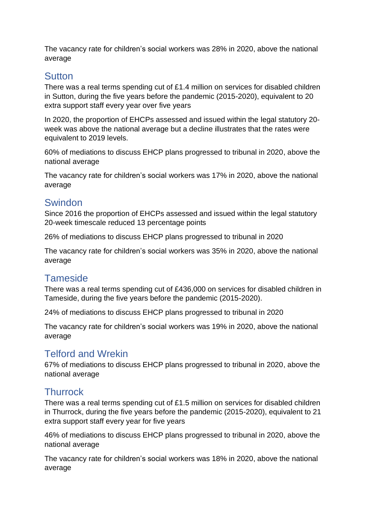The vacancy rate for children's social workers was 28% in 2020, above the national average

#### **Sutton**

There was a real terms spending cut of £1.4 million on services for disabled children in Sutton, during the five years before the pandemic (2015-2020), equivalent to 20 extra support staff every year over five years

In 2020, the proportion of EHCPs assessed and issued within the legal statutory 20 week was above the national average but a decline illustrates that the rates were equivalent to 2019 levels.

60% of mediations to discuss EHCP plans progressed to tribunal in 2020, above the national average

The vacancy rate for children's social workers was 17% in 2020, above the national average

# **Swindon**

Since 2016 the proportion of EHCPs assessed and issued within the legal statutory 20-week timescale reduced 13 percentage points

26% of mediations to discuss EHCP plans progressed to tribunal in 2020

The vacancy rate for children's social workers was 35% in 2020, above the national average

# **Tameside**

There was a real terms spending cut of £436,000 on services for disabled children in Tameside, during the five years before the pandemic (2015-2020).

24% of mediations to discuss EHCP plans progressed to tribunal in 2020

The vacancy rate for children's social workers was 19% in 2020, above the national average

# Telford and Wrekin

67% of mediations to discuss EHCP plans progressed to tribunal in 2020, above the national average

# **Thurrock**

There was a real terms spending cut of £1.5 million on services for disabled children in Thurrock, during the five years before the pandemic (2015-2020), equivalent to 21 extra support staff every year for five years

46% of mediations to discuss EHCP plans progressed to tribunal in 2020, above the national average

The vacancy rate for children's social workers was 18% in 2020, above the national average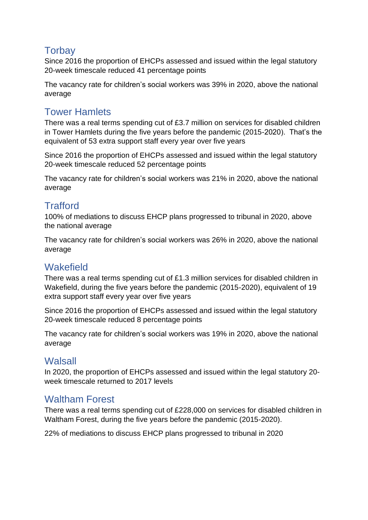# **Torbay**

Since 2016 the proportion of EHCPs assessed and issued within the legal statutory 20-week timescale reduced 41 percentage points

The vacancy rate for children's social workers was 39% in 2020, above the national average

# Tower Hamlets

There was a real terms spending cut of £3.7 million on services for disabled children in Tower Hamlets during the five years before the pandemic (2015-2020). That's the equivalent of 53 extra support staff every year over five years

Since 2016 the proportion of EHCPs assessed and issued within the legal statutory 20-week timescale reduced 52 percentage points

The vacancy rate for children's social workers was 21% in 2020, above the national average

# **Trafford**

100% of mediations to discuss EHCP plans progressed to tribunal in 2020, above the national average

The vacancy rate for children's social workers was 26% in 2020, above the national average

# **Wakefield**

There was a real terms spending cut of £1.3 million services for disabled children in Wakefield, during the five years before the pandemic (2015-2020), equivalent of 19 extra support staff every year over five years

Since 2016 the proportion of EHCPs assessed and issued within the legal statutory 20-week timescale reduced 8 percentage points

The vacancy rate for children's social workers was 19% in 2020, above the national average

# **Walsall**

In 2020, the proportion of EHCPs assessed and issued within the legal statutory 20 week timescale returned to 2017 levels

# Waltham Forest

There was a real terms spending cut of £228,000 on services for disabled children in Waltham Forest, during the five years before the pandemic (2015-2020).

22% of mediations to discuss EHCP plans progressed to tribunal in 2020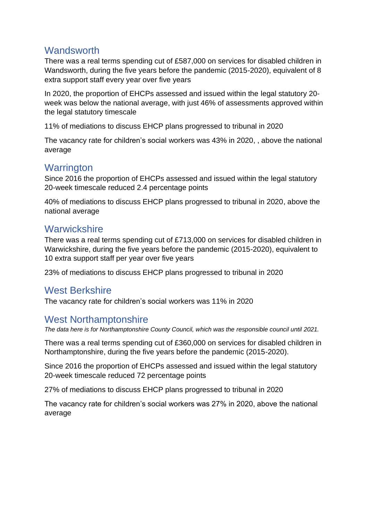#### **Wandsworth**

There was a real terms spending cut of £587,000 on services for disabled children in Wandsworth, during the five years before the pandemic (2015-2020), equivalent of 8 extra support staff every year over five years

In 2020, the proportion of EHCPs assessed and issued within the legal statutory 20 week was below the national average, with just 46% of assessments approved within the legal statutory timescale

11% of mediations to discuss EHCP plans progressed to tribunal in 2020

The vacancy rate for children's social workers was 43% in 2020, , above the national average

#### **Warrington**

Since 2016 the proportion of EHCPs assessed and issued within the legal statutory 20-week timescale reduced 2.4 percentage points

40% of mediations to discuss EHCP plans progressed to tribunal in 2020, above the national average

#### **Warwickshire**

There was a real terms spending cut of £713,000 on services for disabled children in Warwickshire, during the five years before the pandemic (2015-2020), equivalent to 10 extra support staff per year over five years

23% of mediations to discuss EHCP plans progressed to tribunal in 2020

# West Berkshire

The vacancy rate for children's social workers was 11% in 2020

# West Northamptonshire

*The data here is for Northamptonshire County Council, which was the responsible council until 2021.*

There was a real terms spending cut of £360,000 on services for disabled children in Northamptonshire, during the five years before the pandemic (2015-2020).

Since 2016 the proportion of EHCPs assessed and issued within the legal statutory 20-week timescale reduced 72 percentage points

27% of mediations to discuss EHCP plans progressed to tribunal in 2020

The vacancy rate for children's social workers was 27% in 2020, above the national average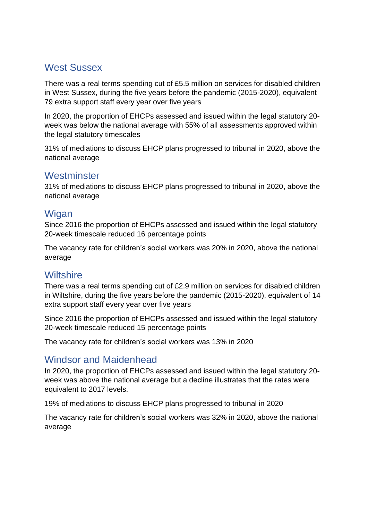# West Sussex

There was a real terms spending cut of £5.5 million on services for disabled children in West Sussex, during the five years before the pandemic (2015-2020), equivalent 79 extra support staff every year over five years

In 2020, the proportion of EHCPs assessed and issued within the legal statutory 20 week was below the national average with 55% of all assessments approved within the legal statutory timescales

31% of mediations to discuss EHCP plans progressed to tribunal in 2020, above the national average

#### **Westminster**

31% of mediations to discuss EHCP plans progressed to tribunal in 2020, above the national average

#### **Wigan**

Since 2016 the proportion of EHCPs assessed and issued within the legal statutory 20-week timescale reduced 16 percentage points

The vacancy rate for children's social workers was 20% in 2020, above the national average

# **Wiltshire**

There was a real terms spending cut of £2.9 million on services for disabled children in Wiltshire, during the five years before the pandemic (2015-2020), equivalent of 14 extra support staff every year over five years

Since 2016 the proportion of EHCPs assessed and issued within the legal statutory 20-week timescale reduced 15 percentage points

The vacancy rate for children's social workers was 13% in 2020

# Windsor and Maidenhead

In 2020, the proportion of EHCPs assessed and issued within the legal statutory 20 week was above the national average but a decline illustrates that the rates were equivalent to 2017 levels.

19% of mediations to discuss EHCP plans progressed to tribunal in 2020

The vacancy rate for children's social workers was 32% in 2020, above the national average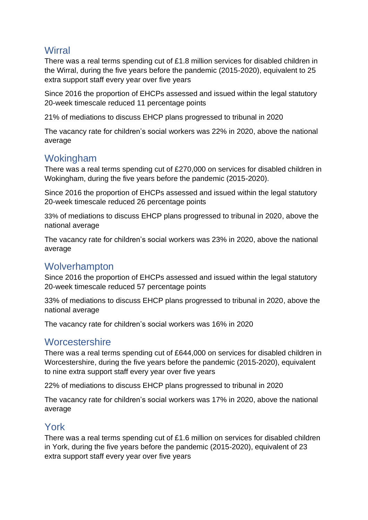#### **Wirral**

There was a real terms spending cut of £1.8 million services for disabled children in the Wirral, during the five years before the pandemic (2015-2020), equivalent to 25 extra support staff every year over five years

Since 2016 the proportion of EHCPs assessed and issued within the legal statutory 20-week timescale reduced 11 percentage points

21% of mediations to discuss EHCP plans progressed to tribunal in 2020

The vacancy rate for children's social workers was 22% in 2020, above the national average

# Wokingham

There was a real terms spending cut of £270,000 on services for disabled children in Wokingham, during the five years before the pandemic (2015-2020).

Since 2016 the proportion of EHCPs assessed and issued within the legal statutory 20-week timescale reduced 26 percentage points

33% of mediations to discuss EHCP plans progressed to tribunal in 2020, above the national average

The vacancy rate for children's social workers was 23% in 2020, above the national average

#### **Wolverhampton**

Since 2016 the proportion of EHCPs assessed and issued within the legal statutory 20-week timescale reduced 57 percentage points

33% of mediations to discuss EHCP plans progressed to tribunal in 2020, above the national average

The vacancy rate for children's social workers was 16% in 2020

#### **Worcestershire**

There was a real terms spending cut of £644,000 on services for disabled children in Worcestershire, during the five years before the pandemic (2015-2020), equivalent to nine extra support staff every year over five years

22% of mediations to discuss EHCP plans progressed to tribunal in 2020

The vacancy rate for children's social workers was 17% in 2020, above the national average

#### York

There was a real terms spending cut of £1.6 million on services for disabled children in York, during the five years before the pandemic (2015-2020), equivalent of 23 extra support staff every year over five years